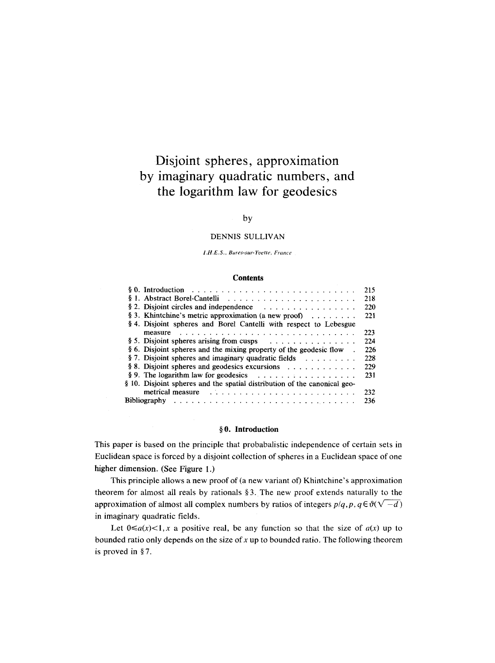# **Disjoint spheres, approximation by imaginary quadratic numbers, and the logarithm law for geodesics**

#### by

#### DENNIS SULLIVAN

*LH.E.S., Bures-sur-Yvette, France* 

#### **Contents**

|                                                                                                                                                                                                                                | 215 |
|--------------------------------------------------------------------------------------------------------------------------------------------------------------------------------------------------------------------------------|-----|
|                                                                                                                                                                                                                                | 218 |
| § 2. Disjoint circles and independence $\ldots \ldots \ldots \ldots \ldots$                                                                                                                                                    | 220 |
| § 3. Khintchine's metric approximation (a new proof) $\ldots \ldots$                                                                                                                                                           | 221 |
| § 4. Disjoint spheres and Borel Cantelli with respect to Lebesgue                                                                                                                                                              |     |
| measure                                                                                                                                                                                                                        | 223 |
| § 5. Disjoint spheres arising from cusps $\ldots \ldots \ldots \ldots$                                                                                                                                                         | 224 |
| § 6. Disjoint spheres and the mixing property of the geodesic flow                                                                                                                                                             | 226 |
| § 7. Disjoint spheres and imaginary quadratic fields $\ldots$                                                                                                                                                                  | 228 |
| § 8. Disjoint spheres and geodesics excursions                                                                                                                                                                                 | 229 |
| § 9. The logarithm law for geodesics $\ldots \ldots \ldots \ldots \ldots$                                                                                                                                                      | 231 |
| § 10. Disjoint spheres and the spatial distribution of the canonical geo-                                                                                                                                                      |     |
| metrical measure (Alexander Alexander Alexander Alexander Alexander Alexander Alexander Alexander Alexander Alexander Alexander Alexander Alexander Alexander Alexander Alexander Alexander Alexander Alexander Alexander Alex | 232 |
|                                                                                                                                                                                                                                | 236 |

#### **w 0. Introduction**

This paper is based on the principle that probabalistic independence of certain sets in Euclidean space is forced by a disjoint collection of spheres in a Euclidean space of one higher dimension. (See Figure 1.)

This principle allows a new proof of (a new variant of) Khintchine's approximation theorem for almost all reals by rationals  $\S$ 3. The new proof extends naturally to the approximation of almost all complex numbers by ratios of integers  $p/q, p, q \in \vartheta(\sqrt{-d})$ in imaginary quadratic fields.

Let  $0 \le a(x) < 1$ , x a positive real, be any function so that the size of  $a(x)$  up to bounded ratio only depends on the size of  $x$  up to bounded ratio. The following theorem is proved in  $§ 7$ .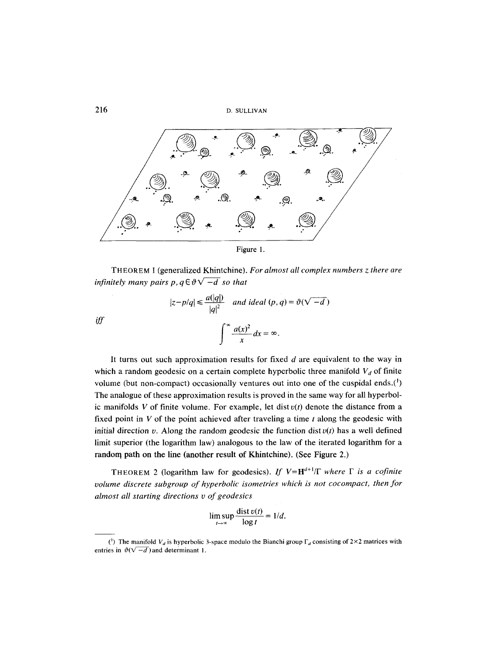

THEOREM I (generalized Khintchine). *For almost all complex numbers z. there are infinitely many pairs p,*  $q \in \vartheta \sqrt{-d}$  *so that* 

> $|z-p/q| \leq \frac{a(|q|)}{|q|^2}$  *and ideal*  $(p, q) = \vartheta(\sqrt{-d})$  $\frac{u(x)}{2} dx = \infty$ . *J x*

It turns out such approximation results for fixed  $d$  are equivalent to the way in which a random geodesic on a certain complete hyperbolic three manifold  $V_d$  of finite volume (but non-compact) occasionally ventures out into one of the cuspidal ends. $(^1)$ The analogue of these approximation results is proved in the same way for all hyperbolic manifolds V of finite volume. For example, let dist  $v(t)$  denote the distance from a fixed point in  $V$  of the point achieved after traveling a time  $t$  along the geodesic with initial direction v. Along the random geodesic the function dist  $v(t)$  has a well defined limit superior (the logarithm law) analogous to the law of the iterated logarithm for a random path on the line (another result of Khintchine). (See Figure 2.)

THEOREM 2 (logarithm law for geodesics). If  $V=H^{d+1}/\Gamma$  where  $\Gamma$  is a cofinite *volume discrete subgroup of hyperbolic isometries which is not cocompact, then for ahnost all starting directions v of geodesics* 

$$
\limsup_{t\to\infty}\frac{\text{dist }v(t)}{\log t}=1/d.
$$

*iff* 

<sup>(&</sup>lt;sup>1</sup>) The manifold  $V_d$  is hyperbolic 3-space modulo the Bianchi group  $\Gamma_d$  consisting of 2×2 matrices with entries in  $\vartheta(\sqrt{-d})$  and determinant 1.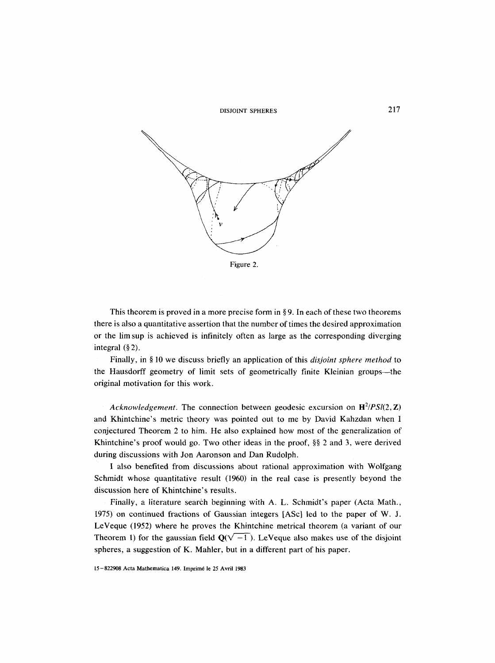



This theorem is proved in a more precise form in  $\S 9$ . In each of these two theorems there is also a quantitative assertion that the number of times the desired approximation or the lim sup is achieved is infinitely often as large as the corresponding diverging integral  $(\S 2)$ .

Finally, in § 10 we discuss briefly an application of this *disjoint sphere method* to the Hausdorff geometry of limit sets of geometrically finite Kleinian groups—the original motivation for this work.

*Acknowledgement.* The connection between geodesic excursion on  $\mathbf{H}^2/PSI(2,\mathbf{Z})$ and Khintchine's metric theory was pointed out to me by David Kahzdan when 1 conjectured Theorem 2 to him. He also explained how most of the generalization of Khintchine's proof would go. Two other ideas in the proof,  $\S$  2 and 3, were derived during discussions with Jon Aaronson and Dan Rudolph.

I also benefited from discussions about rational approximation with Wolfgang Schmidt whose quantitative result (1960) in the real case is presently beyond the discussion here of Khintchine's results,

Finally, a literature search beginning with A. L. Schmidt's paper (Acta Math., 1975) on continued fractions of Gaussian integers [ASc] led to the paper of W. J. LeVeque (1952) where he proves the Khintchine metrical theorem (a variant of our Theorem 1) for the gaussian field  $Q(\sqrt{-1})$ . LeVeque also makes use of the disjoint spheres, a suggestion of K. Mahler, but in a different part of his paper.

<sup>15-822908</sup> Acta Mathematica 149. Imprim6 le 25 Avril 1983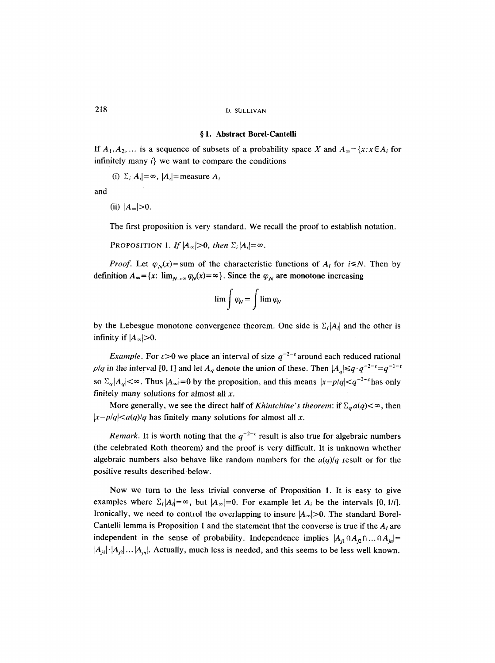#### **w 1. Abstract BoreI-Cantelli**

If  $A_1, A_2, \ldots$  is a sequence of subsets of a probability space X and  $A_\infty = \{x : x \in A_i \}$  for infinitely many  $i$  we want to compare the conditions

(i)  $\Sigma_i |A_i| = \infty$ ,  $|A_i|$ = measure  $A_i$ 

and

(ii)  $|A_{\infty}|>0$ .

The first proposition is very standard. We recall the proof to establish notation.

PROPOSITION 1. If  $|A_{\infty}|>0$ , then  $\Sigma_i|A_i|=\infty$ .

*Proof.* Let  $\varphi_N(x)$ = sum of the characteristic functions of  $A_i$  for *i* ≤*N*. Then by definition  $A_\infty = \{x: \lim_{N\to\infty} \varphi_N(x) = \infty\}$ . Since the  $\varphi_N$  are monotone increasing

$$
\lim \int \varphi_N = \int \lim \varphi_N
$$

by the Lebesgue monotone convergence theorem. One side is  $\Sigma_i |A_i|$  and the other is infinity if  $|A_{\infty}|>0$ .

*Example.* For  $\varepsilon > 0$  we place an interval of size  $q^{-2-\varepsilon}$  around each reduced rational  $p/q$  in the interval [0, 1] and let  $A_q$  denote the union of these. Then  $|A_q| \leq q \cdot q^{-2-\epsilon} = q^{-1-\epsilon}$ so  $\sum_{q} |A_{q}| < \infty$ . Thus  $|A_{\infty}| = 0$  by the proposition, and this means  $|x - p/q| < q^{-2-\epsilon}$  has only finitely many solutions for almost all  $x$ .

More generally, we see the direct half of *Khintchine's theorem*: if  $\sum_a a(q) < \infty$ , then  $|x-p/q| \leq a(q)/q$  has finitely many solutions for almost all x.

*Remark.* It is worth noting that the  $q^{-2-\epsilon}$  result is also true for algebraic numbers (the celebrated Roth theorem) and the proof is very difficult. It is unknown whether algebraic numbers also behave like random numbers for the *a(q)/q* result or for the positive results described below.

Now we turn to the less trivial converse of Proposition 1, It is easy to give examples where  $\Sigma_i|A_i|=\infty$ , but  $|A_{\infty}|=0$ . For example let  $A_i$  be the intervals [0, 1/*i*]. Ironically, we need to control the overlapping to insure  $|A_{\infty}|>0$ . The standard Borel-Cantelli lemma is Proposition 1 and the statement that the converse is true if the  $A_i$  are independent in the sense of probability. Independence implies  $|A_{i1} \cap A_{i2} \cap ... \cap A_{in}| =$  $|A_{i1}| \cdot |A_{i2}| \dots |A_{in}|$ . Actually, much less is needed, and this seems to be less well known.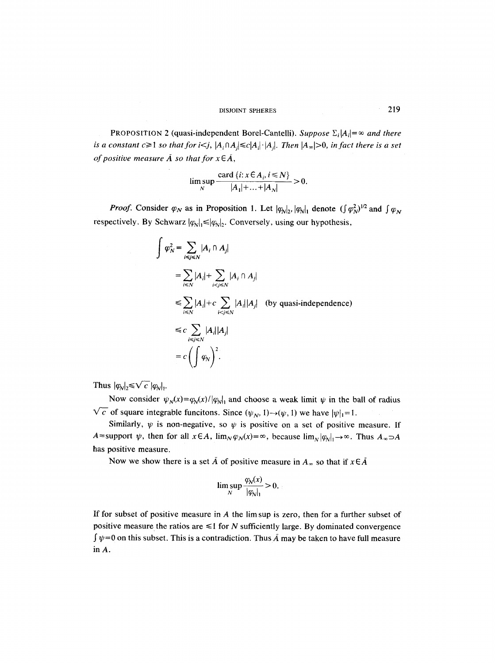PROPOSITION 2 (quasi-independent Borel-Cantelli). *Suppose*  $\Sigma_i |A_i| = \infty$  and there *is a constant c* $\geq$ 1 *so that for i<j,*  $|A_i \cap A_j| \leq c |A_i| \cdot |A_j|$ . Then  $|A_{\infty}| > 0$ , *in fact there is a set of positive measure*  $\overline{A}$  *so that for*  $x \in \overline{A}$ ,

$$
\limsup_{N} \frac{\operatorname{card} \left\{ i : x \in A_{i}, i \le N \right\}}{|A_{1}| + \ldots + |A_{N}|} > 0.
$$

*Proof.* Consider  $\varphi_N$  as in Proposition 1. Let  $|\varphi_N|_2$ ,  $|\varphi_N|_1$  denote  $(\int \varphi_N^2)^{1/2}$  and  $\int \varphi_N$ respectively. By Schwarz  $|q_N|_1 \leq |q_N|_2$ . Conversely, using our hypothesis,

$$
\int \varphi_N^2 = \sum_{i \le j \le N} |A_i \cap A_j|
$$
\n
$$
= \sum_{i \le N} |A_i| + \sum_{i < j \le N} |A_i \cap A_j|
$$
\n
$$
\le \sum_{i \le N} |A_i| + c \sum_{i < j \le N} |A_i| |A_j| \quad \text{(by quasi-independence)}
$$
\n
$$
\le c \sum_{i \le j \le N} |A_i| |A_j|
$$
\n
$$
= c \left( \int \varphi_N \right)^2.
$$

Thus  $|q_{\lambda}|_2 \le \sqrt{c} |q_{\lambda}|_1$ .

Now consider  $\psi_N(x) = \varphi_N(x)/|\varphi_N|$  and choose a weak limit  $\psi$  in the ball of radius  $\sqrt{c}$  of square integrable funcitons. Since  $(\psi_N, 1) \rightarrow (\psi, 1)$  we have  $|\psi|_1 = 1$ .

Similarly,  $\psi$  is non-negative, so  $\psi$  is positive on a set of positive measure. If A=support  $\psi$ , then for all  $x \in A$ ,  $\lim_{N \to \infty} \varphi_N(x) = \infty$ , because  $\lim_{N \to \infty} |\varphi_N|_1 \to \infty$ . Thus  $A_\infty \supset A$ has positive measure.

Now we show there is a set  $\bar{A}$  of positive measure in  $A_{\infty}$  so that if  $x \in \bar{A}$ 

$$
\limsup_{N} \frac{\varphi_N(x)}{|\varphi_N|_1} > 0.
$$

If for subset of positive measure in  $A$  the lim sup is zero, then for a further subset of positive measure the ratios are  $\leq 1$  for N sufficiently large. By dominated convergence  $\int \psi = 0$  on this subset. This is a contradiction. Thus  $\tilde{A}$  may be taken to have full measure in A.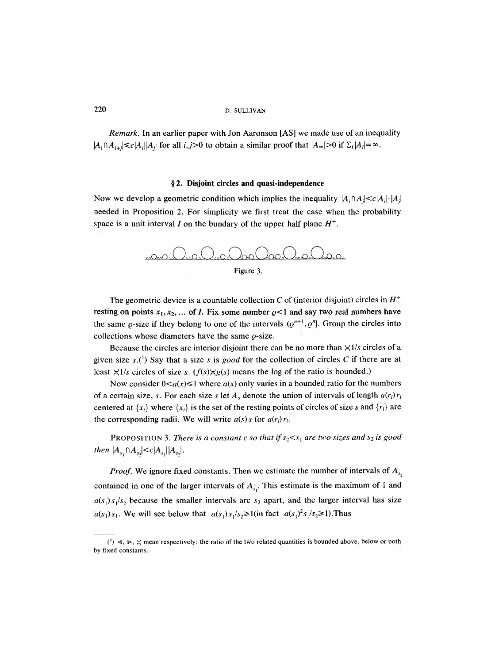*Remark.* In an earlier paper with Jon Aaronson [AS] we made use of an inequality  $|A_i \cap A_{i+j}| \le c |A_i| |A_j|$  for all  $i, j>0$  to obtain a similar proof that  $|A_{\infty}|>0$  if  $\Sigma_i |A_i| = \infty$ .

#### **w 2. Disjoint circles and quasi-independence**

Now we develop a geometric condition which implies the inequality  $|A_i \cap A_j| \le c |A_j| \cdot |A_j|$ needed in Proposition 2. For simplicity we first treat the case when the probability space is a unit interval I on the bundary of the upper half plane  $H^+$ .



The geometric device is a countable collection C of (interior disjoint) circles in  $H^+$ resting on points  $x_1, x_2, \ldots$  of *I*. Fix some number  $\varrho < 1$  and say two real numbers have the same  $\rho$ -size if they belong to one of the intervals  $(\rho^{n+1}, \rho^n]$ . Group the circles into collections whose diameters have the same  $\rho$ -size.

Because the circles are interior disjoint there can be no more than  $\frac{\times 1}{s}$  circles of a given size  $s$ .<sup>(1</sup>) Say that a size s is *good* for the collection of circles C if there are at least  $\frac{\times 1}{s}$  circles of size *s.* ( $f(s) \times g(s)$  means the log of the ratio is bounded.)

Now consider  $0 < a(x) \le 1$  where  $a(x)$  only varies in a bounded ratio for the numbers of a certain size, s. For each size s let  $A_s$  denote the union of intervals of length  $a(r_i)r_i$ centered at  $\{x_i\}$  where  $\{x_i\}$  is the set of the resting points of circles of size s and  $\{r_i\}$  are the corresponding radii. We will write  $a(s)$  *s* for  $a(r_i)r_i$ .

**PROPOSITION 3. There is a constant c so that if**  $s_2 < s_1$  **are two sizes and**  $s_2$  **is good** *then*  $|A_{s_1} \cap A_{s_2}| \le c |A_{s_1}| |A_{s_2}|$ .

*Proof.* We ignore fixed constants. Then we estimate the number of intervals of  $A_{s}$ , contained in one of the larger intervals of  $A_s$ . This estimate is the maximum of 1 and  $a(s_1) s_1/s_2$  because the smaller intervals are  $s_2$  apart, and the larger interval has size  $a(s_1)s_1$ . We will see below that  $a(s_1)s_1/s_2 \geq 1$  (in fact  $a(s_1)^2s_1/s_2 \geq 1$ ). Thus

<sup>(1)</sup>  $\leq$ ,  $\geq$ ,  $\leq$  mean respectively: the ratio of the two related quantities is bounded above, below or both by fixed constants.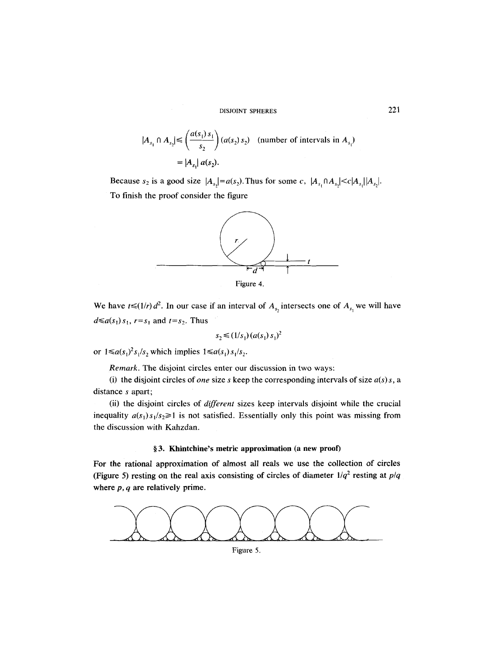$$
|A_{s_1} \cap A_{s_2}| \le \left(\frac{a(s_1) s_1}{s_2}\right) (a(s_2) s_2) \quad \text{(number of intervals in } A_{s_1})
$$

$$
= |A_{s_1}| a(s_2).
$$

Because  $s_2$  is a good size  $|A_{s_2}| = a(s_2)$ . Thus for some  $c$ ,  $|A_{s_1} \cap A_{s_2}| \le c |A_{s_1}| |A_{s_2}|$ . To finish the proof consider the figure





We have  $t \leq (1/r) d^2$ . In our case if an interval of  $A_{s_2}$  intersects one of  $A_{s_1}$  we will have  $d \leq a(s_1) s_1$ ,  $r = s_1$  and  $t = s_2$ . Thus

$$
s_2 \leq (1/s_1) (a(s_1) s_1)^2
$$

or  $1 \le a(s_1)^2 s_1/s_2$  which implies  $1 \le a(s_1) s_1/s_2$ .

*Remark.* The disjoint circles enter our discussion in two ways:

(i) the disjoint circles of *one* size s keep the corresponding intervals of size  $a(s)$  s, a distance s apart;

(ii) the disjoint circles of *different* sizes keep intervals disjoint while the crucial inequality  $a(s_1)s_1/s_2 \ge 1$  is not satisfied. Essentially only this point was missing from the discussion with Kahzdan.

#### **w 3. Khintchine's metric approximation (a new proof)**

**For the rational approximation of almost all reals we use the collection of circles**  (Figure 5) resting on the real axis consisting of circles of diameter  $1/q^2$  resting at  $p/q$ **where p, q are relatively prime.** 

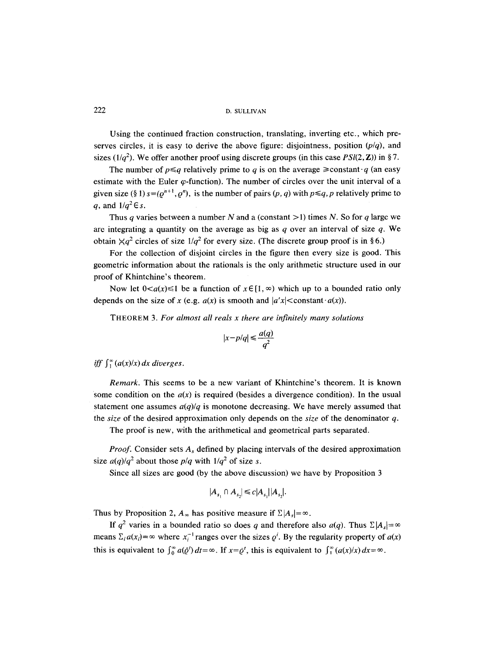Using the continued fraction construction, translating, inverting etc., which preserves circles, it is easy to derive the above figure: disjointness, position *(p/q),* and sizes  $(1/q^2)$ . We offer another proof using discrete groups (in this case *PSI(2, Z))* in §7.

The number of  $p \leq q$  relatively prime to q is on the average  $\geq$  constant q (an easy estimate with the Euler  $\varphi$ -function). The number of circles over the unit interval of a given size (§ 1)  $s=(\varrho^{n+1}, \varrho^n)$ , is the number of pairs  $(p, q)$  with  $p \leq q$ , p relatively prime to q, and  $1/q^2 \in s$ .

Thus q varies between a number N and a (constant  $>1$ ) times N. So for q large we are integrating a quantity on the average as big as  $q$  over an interval of size  $q$ . We obtain  $\chi q^2$  circles of size  $1/q^2$  for every size. (The discrete group proof is in §6.)

For the collection of disjoint circles in the figure then every size is good. This geometric information about the rationals is the only arithmetic structure used in our proof of Khintchine's theorem.

Now let  $0 < a(x) \le 1$  be a function of  $x \in [1, \infty)$  which up to a bounded ratio only depends on the size of x (e.g.  $a(x)$  is smooth and  $|a'x|$  < constant  $\cdot a(x)$ ).

THEOREM 3. *For almost all reals x there are infinitely many solutions* 

$$
|x-p/q| \le \frac{a(q)}{q^2}
$$

*iff*  $\int_1^{\infty} (a(x)/x) dx$  *diverges.* 

*Remark.* This seems to be a new variant of Khintchine's theorem. It is known some condition on the  $a(x)$  is required (besides a divergence condition). In the usual statement one assumes  $a(q)/q$  is monotone decreasing. We have merely assumed that the *size* of the desired approximation only depends on the *size* of the denominator q.

The proof is new, with the arithmetical and geometrical parts separated.

*Proof.* Consider sets  $A_s$  defined by placing intervals of the desired approximation size  $a(q)/q^2$  about those  $p/q$  with  $1/q^2$  of size s.

Since all sizes are good (by the above discussion) we have by Proposition 3

$$
|A_{s_1} \cap A_{s_2}| \le c |A_{s_1}| |A_{s_2}|.
$$

Thus by Proposition 2,  $A_{\infty}$  has positive measure if  $\Sigma |A_{s}| = \infty$ .

If  $q^2$  varies in a bounded ratio so does q and therefore also  $a(q)$ . Thus  $\sum |A_s| = \infty$ means  $\Sigma_i a(x_i) = \infty$  where  $x_i^{-1}$  ranges over the sizes  $\varrho^i$ . By the regularity property of  $a(x)$ this is equivalent to  $\int_0^{\infty} a(\bar{Q}^t) dt = \infty$ . If  $x = \bar{Q}^t$ , this is equivalent to  $\int_1^{\infty} (a(x)/x) dx = \infty$ .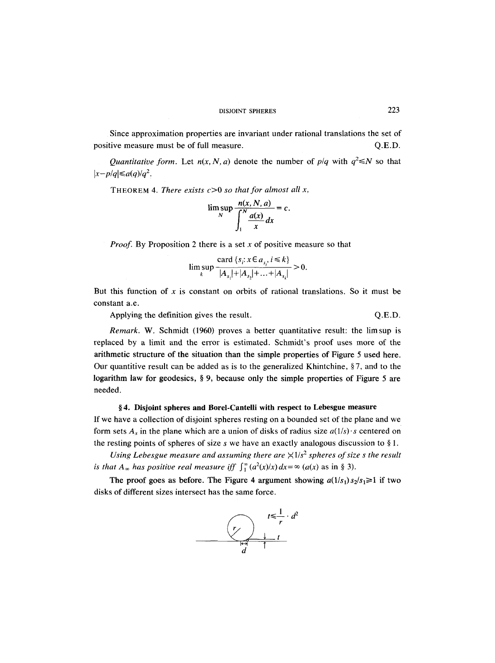Since approximation properties are invariant under rational translations the set of positive measure must be of full measure.  $Q.E.D.$ 

*Quantitative form.* Let  $n(x, N, a)$  denote the number of  $p/q$  with  $q^2 \le N$  so that  $|x-p/q| \leq a(q)/q^2$ .

THEOREM 4. *There exists* c>0 *so that for almost all x,* 

$$
\limsup_{N} \frac{n(x, N, a)}{\int_{1}^{N} \frac{a(x)}{x} dx} = c.
$$

*Proof.* By Proposition 2 there is a set x of positive measure so that

$$
\limsup_{k} \frac{\operatorname{card} \{s_i : x \in a_{s_i}, i \le k\}}{|A_{s_i}| + |A_{s_i}| + \dots + |A_{s_i}|} > 0.
$$

But this function of x is constant on orbits of rational translations. So it must be constant a.e.

Applying the definition gives the result.  $Q.E.D.$ 

*Remark.* W. Schmidt (1960) proves a better quantitative result: the limsup is replaced by a limit and the error is estimated. Schmidt's proof uses more of the **arithmetic** structure of the situation than the simple properties of Figure 5 used here. Our quantitive result can be added as is to the generalized Khintchine,  $\S 7$ , and to the logarithm law for geodesics,  $\S$  9, because only the simple properties of Figure 5 are needed.

#### **w 4. Disjoint spheres and Borel-Cantelli with respect to Lebesgue measure**

If we have a collection of disjoint spheres resting on a bounded set of the plane and we form sets  $A_s$  in the plane which are a union of disks of radius size  $a(1/s)$  s centered on the resting points of spheres of size s we have an exactly analogous discussion to  $\S 1$ .

*Using Lebesgue measure and assuming there are*  $\frac{\times 1}{s^2}$  *spheres of size s the result is that*  $A_{\infty}$  *has positive real measure iff*  $\int_{1}^{\infty} (a^{2}(x)/x) dx = \infty$  (a(x) as in § 3).

The proof goes as before. The Figure 4 argument showing  $a(1/s_1)s_2/s_1 \ge 1$  if two disks of different sizes intersect has the same force.

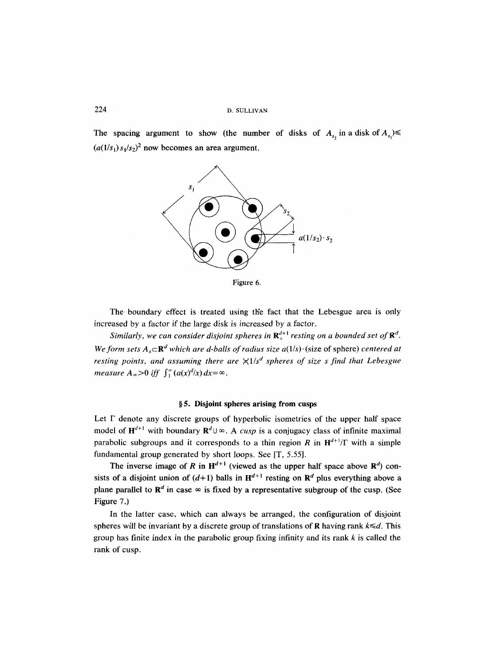The spacing argument to show (the number of disks of  $A_{s}$  in a disk of  $A_{s}$ )  $(a(1/s_1) s_1/s_2)^2$  now becomes an area argument,



Figure 6.

The boundary effect is treated using the fact that the Lebesgue area is only increased by a factor if the large disk is increased by a factor.

*Similarly, we can consider disjoint spheres in*  $\mathbf{R}_{+}^{d+1}$  *resting on a bounded set of*  $\mathbf{R}^{d}$ *. We form sets*  $A_s \subset \mathbb{R}^d$  which are d-balls of radius size  $a(1/s) \cdot$  (size of sphere) centered at *resting points, and assuming there are*  $\frac{1}{s^d}$  *spheres of size s find that Lebesgue measure*  $A_{\infty} > 0$  *iff*  $\int_{1}^{\infty} (a(x)^{d}/x) dx = \infty$ .

#### **w 5. Disjoint spheres arising from cusps**

Let  $\Gamma$  denote any discrete groups of hyperbolic isometries of the upper half space model of  $H^{d+1}$  with boundary  $R^d \cup \infty$ . A *cusp* is a conjugacy class of infinite maximal parabolic subgroups and it corresponds to a thin region R in  $H^{d+1}/\Gamma$  with a simple fundamental group generated by short loops. See [T, 5.55].

The inverse image of R in  $H^{d+1}$  (viewed as the upper half space above  $R^d$ ) consists of a disjoint union of  $(d+1)$  balls in  $H^{d+1}$  resting on  $R^d$  plus everything above a plane parallel to  $\mathbb{R}^d$  in case  $\infty$  is fixed by a representative subgroup of the cusp. (See Figure 7.)

In the latter case, which can always be arranged, the configuration of disjoint spheres will be invariant by a discrete group of translations of  $\bf{R}$  having rank  $k \le d$ . This group has finite index in the parabolic group fixing infinity and its rank  $k$  is called the rank of cusp.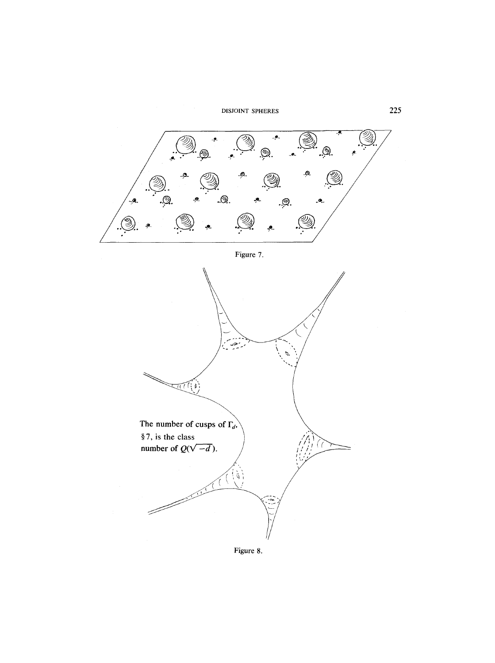

 $\pi$  $\eta$ 

The number of cusps of  $\Gamma_d$ ,

§7, is the class

 $\mathcal{P}$ 

number of  $Q(\sqrt{-d})$ .

**Figure 8.** 

 $\left\{ \hat{p}\right\}$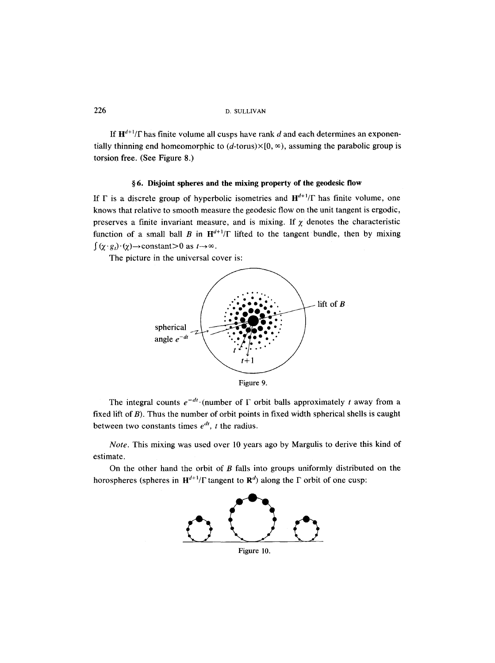If  $H^{d+1}/\Gamma$  has finite volume all cusps have rank d and each determines an exponentially thinning end homeomorphic to  $(d$ -torus) $\times$ [0,  $\infty$ ), assuming the parabolic group is torsion free. (See Figure 8.)

#### **w 6. Disjoint spheres and the mixing property of the geodesic flow**

If  $\Gamma$  is a discrete group of hyperbolic isometries and  $H^{d+1}/\Gamma$  has finite volume, one knows that relative to smooth measure the geodesic flow on the unit tangent is ergodic, preserves a finite invariant measure, and is mixing. If  $\chi$  denotes the characteristic function of a small ball B in  $H^{d+1}/\Gamma$  lifted to the tangent bundle, then by mixing  $\int$   $(\chi \cdot g_t) \cdot (\chi) \rightarrow$ constant $> 0$  as  $t \rightarrow \infty$ .

The picture in the universal cover is:



The integral counts  $e^{-dt}$  (number of  $\Gamma$  orbit balls approximately t away from a fixed lift of B). Thus the number of orbit points in fixed width spherical shells is caught between two constants times  $e^{dt}$ , *t* the radius.

*Note.* This mixing was used over l0 years ago by Margulis to derive this kind of estimate.

On the other hand the orbit of  $B$  falls into groups uniformly distributed on the horospheres (spheres in  $H^{d+1}/\Gamma$  tangent to  $R^d$ ) along the  $\Gamma$  orbit of one cusp:

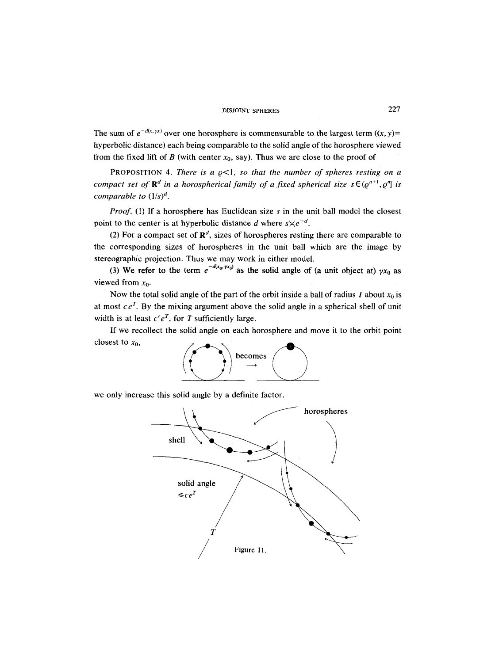The sum of  $e^{-d(x, yx)}$  over one horosphere is commensurable to the largest term  $((x, y)$ = hyperbolic distance) each being comparable to the solid angle of the horosphere viewed from the fixed lift of  $B$  (with center  $x_0$ , say). Thus we are close to the proof of

PROPOSITION 4. *There is a*  $\varrho$ *<1, so that the number of spheres resting on a compact set of*  $\mathbb{R}^d$  *in a horospherical family of a fixed spherical size*  $s \in (0^{n+1}, 0^n]$  *is comparable to (1/s) d.* 

*Proof.* (1) If a horosphere has Euclidean size s in the unit ball model the closest point to the center is at hyperbolic distance d where  $s \times e^{-d}$ .

(2) For a compact set of  $\mathbb{R}^d$ , sizes of horospheres resting there are comparable to the corresponding sizes of horospheres in the unit ball which are the image by stereographic projection. Thus we may work in either model.

(3) We refer to the term  $e^{-d(x_0, y x_0)}$  as the solid angle of (a unit object at)  $yx_0$  as viewed from  $x_0$ .

Now the total solid angle of the part of the orbit inside a ball of radius T about  $x_0$  is at most  $ce^T$ . By the mixing argument above the solid angle in a spherical shell of unit width is at least  $c'e^T$ , for T sufficiently large.

If we recollect the solid angle on each horosphere and move it to the orbit point closest to  $x_0$ ,



we only increase this solid angle by a definite factor.

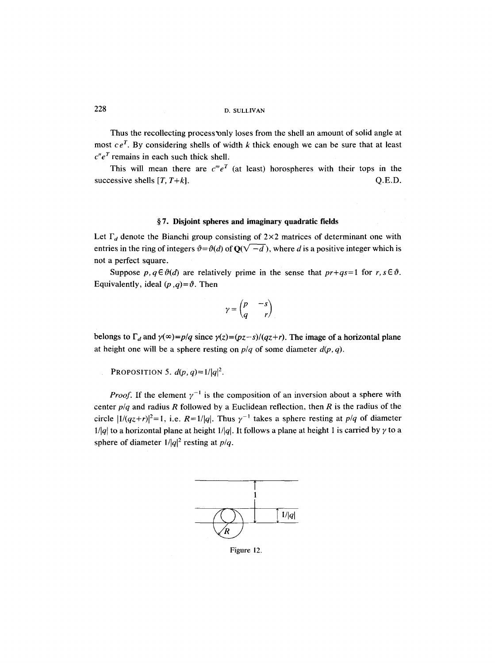Thus the recollecting process'only loses from the shell an amount of solid angle at most  $ce^T$ . By considering shells of width k thick enough we can be sure that at least  $c''e^T$  remains in each such thick shell.

This will mean there are  $c^me^T$  (at least) horospheres with their tops in the successive shells  $[T, T+k]$ .  $Q.E.D.$ 

#### **w 7. Disjoint spheres and imaginary quadratic fields**

Let  $\Gamma_d$  denote the Bianchi group consisting of  $2\times 2$  matrices of determinant one with entries in the ring of integers  $\vartheta = \vartheta(d)$  of  $Q(\sqrt{-d})$ , where d is a positive integer which is not a perfect square.

Suppose  $p, q \in \vartheta(d)$  are relatively prime in the sense that  $pr+qs=1$  for  $r, s \in \vartheta$ . Equivalently, ideal  $(p, q) = \vartheta$ . Then

$$
\gamma = \begin{pmatrix} p & -s \\ q & r \end{pmatrix}
$$

belongs to  $\Gamma_d$  and  $\gamma(\infty)=p/q$  since  $\gamma(z)=(pz-s)/(qz+r)$ . The image of a horizontal plane at height one will be a sphere resting on  $p/q$  of some diameter  $d(p, q)$ .

PROPOSITION 5.  $d(p, q) = 1/|q|^2$ .

*Proof.* If the element  $\gamma^{-1}$  is the composition of an inversion about a sphere with center  $p/q$  and radius R followed by a Euclidean reflection, then R is the radius of the circle  $|1/(qz+r)|^2=1$ , i.e.  $R=1/|q|$ . Thus  $\gamma^{-1}$  takes a sphere resting at  $p/q$  of diameter *l/|q|* to a horizontal plane at height  $1/|q|$ . It follows a plane at height 1 is carried by  $\gamma$  to a sphere of diameter  $1/|q|^2$  resting at  $p/q$ .



Figure 12.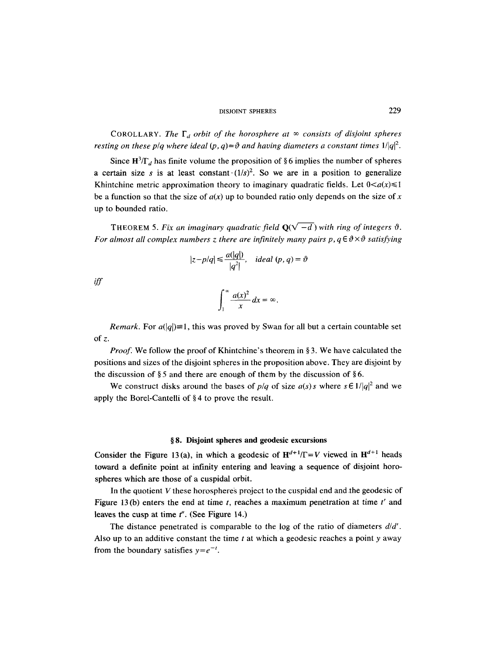COROLLARY. *The*  $\Gamma_d$  *orbit of the horosphere at*  $\infty$  *consists of disjoint spheres resting on these p/q where ideal*  $(p, q) = \vartheta$  *and having diameters a constant times*  $1/|q|^2$ .

Since  $H^3/\Gamma_d$  has finite volume the proposition of §6 implies the number of spheres a certain size s is at least constant  $(1/s)^2$ . So we are in a position to generalize Khintchine metric approximation theory to imaginary quadratic fields. Let  $0 < a(x) \le 1$ be a function so that the size of  $a(x)$  up to bounded ratio only depends on the size of x up to bounded ratio.

THEOREM 5. Fix an imaginary quadratic field  $\mathbf{Q}(\sqrt{-d})$  with ring of integers  $\vartheta$ . *For almost all complex numbers z there are infinitely many pairs p,*  $q \in \theta \times \theta$  *satisfying* 

$$
|z-p/q| \leq \frac{a(|q|)}{|q^2|}, \quad ideal (p, q) = \vartheta
$$

*iff* 

$$
\int_1^\infty \frac{a(x)^2}{x} dx = \infty.
$$

*Remark.* For  $a(|q|) \equiv 1$ , this was proved by Swan for all but a certain countable set of z.

*Proof.* We follow the proof of Khintchine's theorem in §3. We have calculated the positions and sizes of the disjoint spheres in the proposition above. They are disjoint by the discussion of  $\S 5$  and there are enough of them by the discussion of  $\S 6$ .

We construct disks around the bases of  $p/q$  of size  $a(s)$ s where  $s \in 1/|q|^2$  and we apply the Borel-Cantelli of  $§ 4$  to prove the result.

#### **w 8. Disjoint spheres and geodesic excursions**

Consider the Figure 13(a), in which a geodesic of  $H^{d+1}/\Gamma=V$  viewed in  $H^{d+1}$  heads toward a definite point at infinity entering and leaving a sequence of disjoint horospheres which are those of a cuspidal orbit.

In the quotient  $V$  these horospheres project to the cuspidal end and the geodesic of Figure 13 (b) enters the end at time t, reaches a maximum penetration at time  $t'$  and leaves the cusp at time  $t''$ . (See Figure 14.)

The distance penetrated is comparable to the log of the ratio of diameters *d/d'.*  Also up to an additive constant the time  $t$  at which a geodesic reaches a point y away from the boundary satisfies  $y=e^{-t}$ .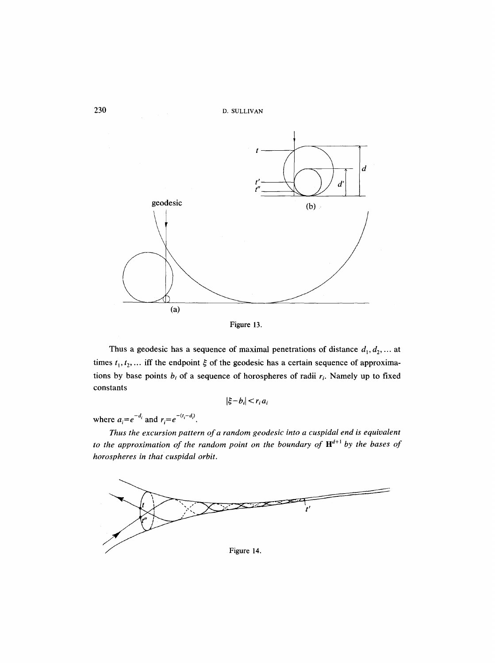





Thus a geodesic has a sequence of maximal penetrations of distance  $d_1, d_2, \dots$  at times  $t_1, t_2, \ldots$  iff the endpoint  $\xi$  of the geodesic has a certain sequence of approximations by base points  $b_i$  of a sequence of horospheres of radii  $r_i$ . Namely up to fixed constants

$$
|\xi - b_i| < r_i a_i
$$

where  $a_i = e^{-d_i}$  and  $r_i = e^{-(t_i - d_i)}$ .

*Thus the excursion pattern of a random geodesic into a cuspidal end is equivalent to the approximation of the random point on the boundary of*  $H^{d+1}$  *by the bases of horospheres in that cuspidal orbit.* 

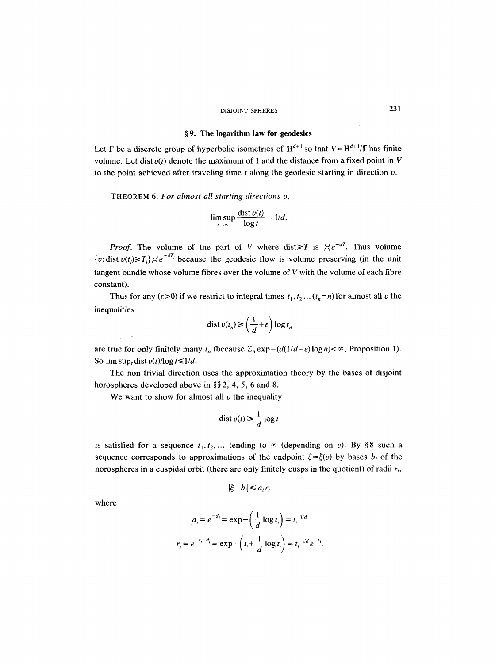#### **w 9. The logarithm law for geodesics**

Let  $\Gamma$  be a discrete group of hyperbolic isometries of  $H^{d+1}$  so that  $V=H^{d+1}/\Gamma$  has finite volume. Let dist  $v(t)$  denote the maximum of 1 and the distance from a fixed point in V to the point achieved after traveling time  $t$  along the geodesic starting in direction  $v$ .

THEOREM 6. *For almost all starting directions v,* 

$$
\limsup_{t\to\infty}\frac{\text{dist }v(t)}{\log t}=1/d.
$$

*Proof.* The volume of the part of V where dist $\geq T$  is  $\lt e^{-dT}$ . Thus volume {v: dist  $v(t_i) \geq T_i$ } $\lt e^{-dT_i}$  because the geodesic flow is volume preserving (in the unit tangent bundle whose volume fibres over the volume of  $V$  with the volume of each fibre constant).

Thus for any ( $\varepsilon > 0$ ) if we restrict to integral times  $t_1, t_2, \ldots (t_n=n)$  for almost all v the inequalities

$$
\operatorname{dist} v(t_n) \ge \left(\frac{1}{d} + \varepsilon\right) \log t_n
$$

are true for only finitely many  $t_n$  (because  $\sum_n \exp(-\frac{d(1}{d+\varepsilon)}\log n) < \infty$ , Proposition 1). So  $\limsup_t \text{dist } v(t) / \log t \leq 1/d$ .

The non trivial direction uses the approximation theory by the bases of disjoint horospheres developed above in  $\S$ §2, 4, 5, 6 and 8.

We want to show for almost all  $v$  the inequality

$$
\operatorname{dist} v(t) \ge \frac{1}{d} \log t
$$

is satisfied for a sequence  $t_1, t_2, ...$  tending to  $\infty$  (depending on v). By §8 such a sequence corresponds to approximations of the endpoint  $\xi = \xi(v)$  by bases  $b_i$  of the horospheres in a cuspidal orbit (there are only finitely cusps in the quotient) of radii  $r_i$ ,

$$
|\xi - b_i| \le a_i r_i
$$

where

$$
a_i = e^{-d_i} = \exp\left(\frac{1}{d}\log t_i\right) = t_i^{-1/d}
$$

$$
r_i = e^{-t_i - d_i} = \exp\left(t_i + \frac{1}{d}\log t_i\right) = t_i^{-1/d} e^{-t_i}.
$$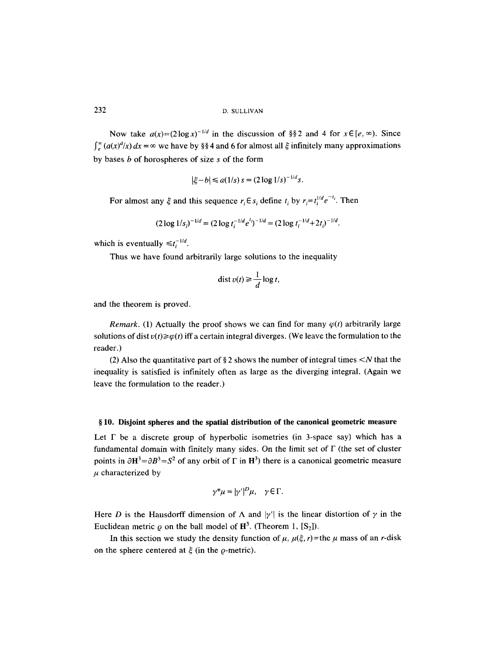Now take  $a(x)=(2\log x)^{-1/d}$  in the discussion of §§2 and 4 for  $x \in [e, \infty)$ . Since  $\int_{e}^{\infty} (a(x)^{d}/x) dx = \infty$  we have by §§4 and 6 for almost all  $\xi$  infinitely many approximations by bases  $b$  of horospheres of size  $s$  of the form

$$
|\xi - b| \leq a(1/s) s = (2 \log 1/s)^{-1/d} s.
$$

For almost any  $\xi$  and this sequence  $r_i \in s_i$  define  $t_i$  by  $r_i = t_i^{1/d} e^{-t_i}$ . Then

$$
(2\log 1/s_i)^{-1/d} = (2\log t_i^{-1/d} e^{t_i})^{-1/d} = (2\log t_i^{-1/d} + 2t_i)^{-1/d}.
$$

which is eventually  $\leq t_i^{-1/d}$ .

Thus we have found arbitrarily large solutions to the inequality

$$
\operatorname{dist} v(t) \ge \frac{1}{d} \log t,
$$

and the theorem is proved.

*Remark.* (1) Actually the proof shows we can find for many  $\varphi(t)$  arbitrarily large solutions of dist  $v(t) \ge \varphi(t)$  iff a certain integral diverges. (We leave the formulation to the reader.)

(2) Also the quantitative part of § 2 shows the number of integral times  $\leq N$  that the inequality is satisfied is infinitely often as large as the diverging integral. (Again we leave the formulation to the reader.)

#### **w 10, Disjoint spheres and the spatial distribution of the canonical geometric measure**

Let  $\Gamma$  be a discrete group of hyperbolic isometries (in 3-space say) which has a fundamental domain with finitely many sides. On the limit set of  $\Gamma$  (the set of cluster points in  $\partial H^3 = \partial B^3 = S^2$  of any orbit of  $\Gamma$  in  $H^3$ ) there is a canonical geometric measure  $\mu$  characterized by

$$
\gamma^* \mu = |\gamma'|^D \mu, \quad \gamma \in \Gamma.
$$

Here D is the Hausdorff dimension of  $\Lambda$  and  $|\gamma'|$  is the linear distortion of  $\gamma$  in the Euclidean metric  $\rho$  on the ball model of  $\mathbb{H}^3$ . (Theorem 1,  $[S_2]$ ).

In this section we study the density function of  $\mu$ ,  $\mu(\xi, r)$ =the  $\mu$  mass of an r-disk on the sphere centered at  $\xi$  (in the  $\varrho$ -metric).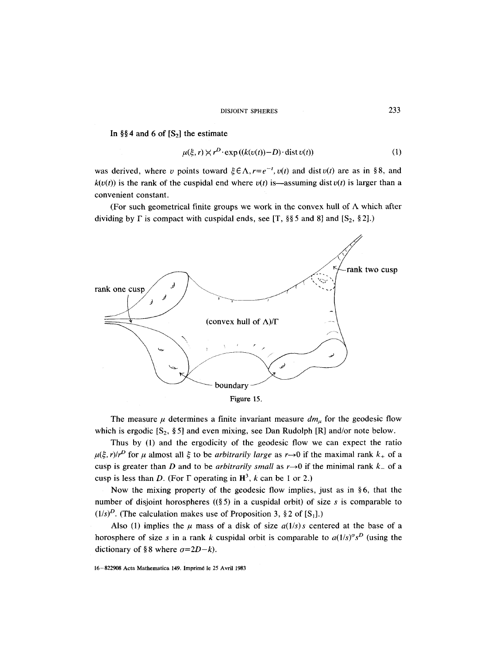In §§4 and 6 of  $[S_2]$  the estimate

$$
\mu(\xi, r) \times r^D \cdot \exp\left((k(v(t)) - D) \cdot \text{dist}\,v(t)\right) \tag{1}
$$

was derived, where v points toward  $\xi \in \Lambda$ ,  $r=e^{-t}$ ,  $v(t)$  and dist  $v(t)$  are as in §8, and  $k(v(t))$  is the rank of the cuspidal end where  $v(t)$  is—assuming dist  $v(t)$  is larger than a convenient constant.

(For such geometrical finite groups we work in the convex hull of  $\Lambda$  which after dividing by  $\Gamma$  is compact with cuspidal ends, see [T, §§ 5 and 8] and [S<sub>2</sub>, § 2].)



The measure  $\mu$  determines a finite invariant measure  $dm_{\mu}$  for the geodesic flow which is ergodic  $[S_2, \S_2]$  and even mixing, see Dan Rudolph [R] and/or note below.

Thus by (1) and the ergodicity of the geodesic flow we can expect the ratio  $\mu(\xi, r)/r^D$  for  $\mu$  almost all  $\xi$  to be *arbitrarily large* as r->0 if the maximal rank  $k_+$  of a cusp is greater than D and to be *arbitrarily small* as  $r \rightarrow 0$  if the minimal rank  $k_{-}$  of a cusp is less than D. (For  $\Gamma$  operating in  $\mathbb{H}^3$ , k can be 1 or 2.)

Now the mixing property of the geodesic flow implies, just as in  $§6$ , that the number of disjoint horospheres ( $(\S 5)$  in a cuspidal orbit) of size s is comparable to  $(1/s)^D$ . (The calculation makes use of Proposition 3, § 2 of [S<sub>1</sub>].)

Also (1) implies the  $\mu$  mass of a disk of size  $a(1/s)$ s centered at the base of a horosphere of size s in a rank k cuspidal orbit is comparable to  $a(1/s)^{\sigma} s^D$  (using the dictionary of §8 where  $\sigma=2D-k$ .

<sup>16-822908</sup> Acta Mathematica 149. Imprim6 le 25 Avril 1983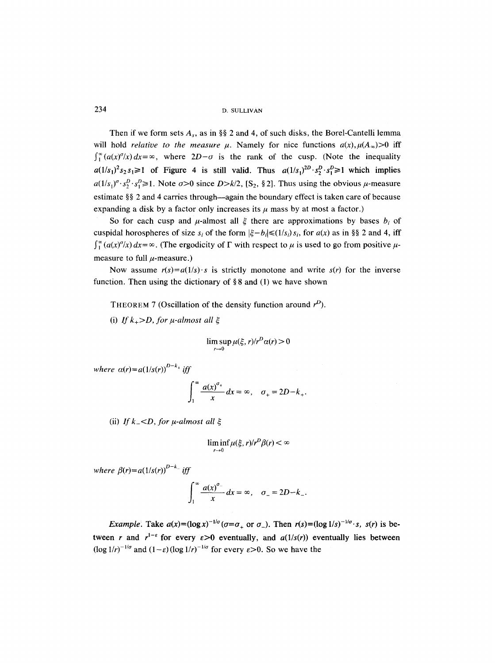Then if we form sets  $A_s$ , as in §§ 2 and 4, of such disks, the Borel-Cantelli lemma will hold *relative to the measure*  $\mu$ *.* Namely for nice functions  $a(x)$ ,  $\mu(A_{\infty})>0$  iff  $\int_{1}^{\infty} (a(x)^{\sigma}/x) dx = \infty$ , where  $2D-\sigma$  is the rank of the cusp. (Note the inequality  $a(1/s_1)^2 s_2 s_1 \ge 1$  of Figure 4 is still valid. Thus  $a(1/s_1)^{2D} s_2^D s_1^D \ge 1$  which implies  $a(1/s_1)^{\sigma} \cdot s_2^D \cdot s_1^D \ge 1$ . Note  $\sigma > 0$  since  $D > k/2$ , [S<sub>2</sub>, § 2]. Thus using the obvious  $\mu$ -measure estimate  $\S$ § 2 and 4 carries through—again the boundary effect is taken care of because expanding a disk by a factor only increases its  $\mu$  mass by at most a factor.)

So for each cusp and  $\mu$ -almost all  $\xi$  there are approximations by bases  $b_i$  of cuspidal horospheres of size  $s_i$  of the form  $|\xi - b_i| \leq (1/s_i) s_i$ , for  $a(x)$  as in §§ 2 and 4, iff  $\int_{1}^{\infty} (a(x)^{\sigma}/x) dx = \infty$ . (The ergodicity of  $\Gamma$  with respect to  $\mu$  is used to go from positive  $\mu$ measure to full  $\mu$ -measure.)

Now assume  $r(s) = a(1/s) \cdot s$  is strictly monotone and write  $s(r)$  for the inverse function. Then using the dictionary of  $\S 8$  and (1) we have shown

**THEOREM 7 (Oscillation of the density function around**  $r^D$ **).** 

(i) If  $k_{+}$ >D, for  $\mu$ -almost all  $\xi$ 

$$
\limsup_{r\to 0}\mu(\xi,r)/r^D\alpha(r)>0
$$

*where*  $\alpha(r) = a(1/s(r))^{D-k_+}$  *iff* 

$$
\int_1^\infty \frac{a(x)^{\sigma_+}}{x} dx = \infty, \quad \sigma_+ = 2D - k_+.
$$

(ii) If  $k_- < D$ , for  $\mu$ -almost all  $\xi$ 

$$
\liminf_{r\to 0}\mu(\xi,r)/r^D\beta(r)<\infty
$$

*where*  $\beta(r) = a(1/s(r))^{D-k_-}$  *iff* 

$$
\int_1^\infty \frac{a(x)^{\sigma_-}}{x} dx = \infty, \quad \sigma_- = 2D - k_-.
$$

*Example:* Take  $a(x)=(\log x)^{-1/\sigma}(\sigma=\sigma_+ \text{ or } \sigma_-)$ . Then  $r(s)=(\log 1/s)^{-1/\sigma} \cdot s$ ,  $s(r)$  is between r and  $r^{1-\epsilon}$  for every  $\epsilon > 0$  eventually, and  $a(1/s(r))$  eventually lies between  $(\log 1/r)^{-1/\sigma}$  and  $(1-\varepsilon)(\log 1/r)^{-1/\sigma}$  for every  $\varepsilon > 0$ . So we have the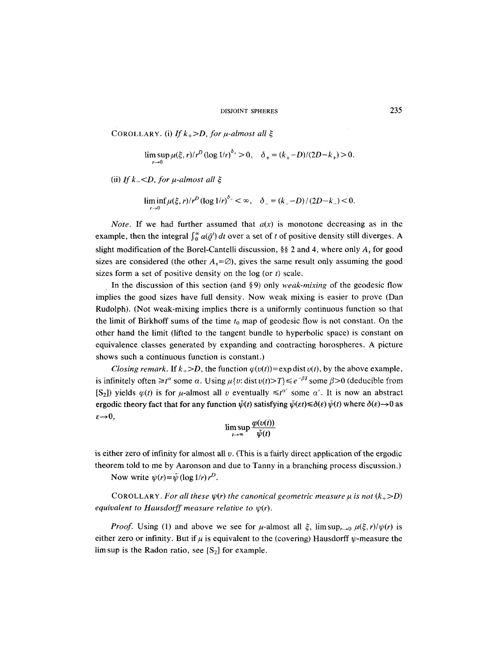COROLLARY. (i) If  $k_{+}$ >D, for  $\mu$ -almost all  $\xi$ 

$$
\limsup_{r \to 0} \mu(\xi, r)/r^D (\log 1/r)^{\delta_+} > 0, \quad \delta_+ = (k_+ - D)/(2D - k_+) > 0.
$$

(ii) *If k*  $\leq$  *D*, for  $\mu$ -almost all  $\xi$ 

$$
\liminf_{r \to 0} \mu(\xi, r)/r^D (\log 1/r)^{\delta_-} < \infty, \quad \delta_- = (k_- - D)/(2D - k_-) < 0.
$$

*Note.* If we had further assumed that  $a(x)$  is monotone decreasing as in the example, then the integral  $\int_0^\infty a(\bar{\rho}^t) dt$  over a set of t of positive density still diverges. A slight modification of the Borel-Cantelli discussion,  $\S$  2 and 4, where only  $A<sub>s</sub>$  for good sizes are considered (the other  $A_s = \emptyset$ ), gives the same result only assuming the good sizes form a set of positive density on the  $log (or t)$  scale.

In the discussion of this section (and §9) only *weak-mixing* of the geodesic flow implies the good sizes have full density. Now weak mixing is easier to prove (Dan Rudolph). (Not weak-mixing implies there is a uniformly continuous function so that the limit of Birkhoff sums of the time  $t_0$  map of geodesic flow is not constant. On the other hand the limit (lifted to the tangent bundle to hyperbolic space) is constant on equivalence classes generated by expanding and contracting horospheres. A picture shows such a continuous function is constant.)

*Closing remark.* If  $k_{+} > D$ , the function  $\varphi(v(t)) = \exp \operatorname{dist} v(t)$ , by the above example, is infinitely often  $\geq t^a$  some  $\alpha$ . Using  $\mu\{v: \text{dist } v(t) > T\} \leq e^{-\beta T}$  some  $\beta > 0$  (deducible from [S<sub>2</sub>]) yields  $\varphi(t)$  is for  $\mu$ -almost all v eventually  $\leq t^{\alpha'}$  some  $\alpha'$ . It is now an abstract ergodic theory fact that for any function  $\hat{\psi}(t)$  satisfying  $\bar{\psi}(\epsilon t) \leq \delta(\epsilon) \bar{\psi}(t)$  where  $\delta(\epsilon) \rightarrow 0$  as  $\varepsilon \rightarrow 0$ ,

$$
\limsup_{t\to\infty}\frac{\varphi(v(t))}{\bar{\psi}(t)}
$$

is either zero of infinity for almost all  $v$ . (This is a fairly direct application of the ergodic theorem told to me by Aaronson and due to Tanny in a branching process discussion.)

Now write  $\psi(r) = \bar{\psi} (\log 1/r) r^D$ .

COROLLARY. For all these  $\psi(r)$  the canonical geometric measure  $\mu$  is not  $(k_{+}>D)$ *equivalent to Hausdorff measure relative to*  $\psi(r)$ *.* 

*Proof.* Using (1) and above we see for  $\mu$ -almost all  $\xi$ ,  $\limsup_{r\to 0} \mu(\xi, r)/\psi(r)$  is either zero or infinity. But if  $\mu$  is equivalent to the (covering) Hausdorff  $\psi$ -measure the lim sup is the Radon ratio, see  $[S_2]$  for example.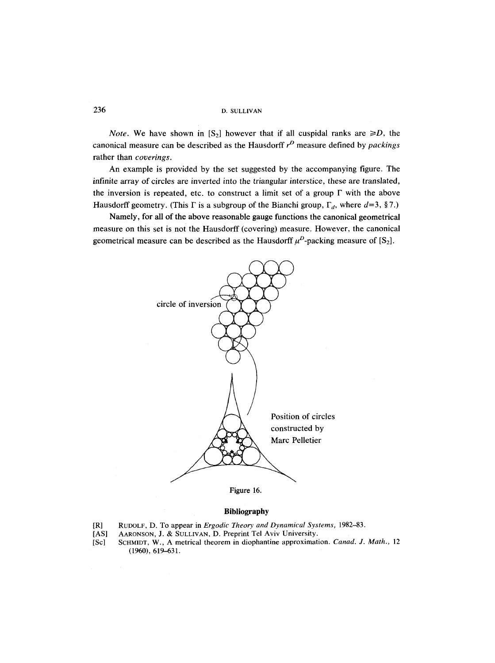*Note.* We have shown in  $[S_2]$  however that if all cuspidal ranks are  $\ge D$ , the canonical measure can be described as the Hausdorff  $r<sup>D</sup>$  measure defined by *packings* rather than *coverings.* 

An example is provided by the set suggested by the accompanying figure. The infinite array of circles are inverted into the triangular interstice, these are translated, the inversion is repeated, etc. to construct a limit set of a group  $\Gamma$  with the above Hausdorff geometry. (This  $\Gamma$  is a subgroup of the Bianchi group,  $\Gamma_d$ , where  $d=3$ , §7.)

Namely, for all of the above reasonable gauge functions the canonical geometrical measure on this set is not the Hausdorff (covering) measure. However, the canonical geometrical measure can be described as the Hausdorff  $\mu^D$ -packing measure of [S<sub>2</sub>].



Figure 16.

## **Bibliography**

- [R] RUDOLF, D. To appear in *Ergodic Theory and Dynamical Systems,* 1982-83.
- AARONSON, J. & SULLIVAN, D. Preprint Tel Aviv University.
- [Sc] SCHMIDT, W., A metrical theorem in diophantine approximation. *Canad. J. Math.,* 12 (1960), 619-631.